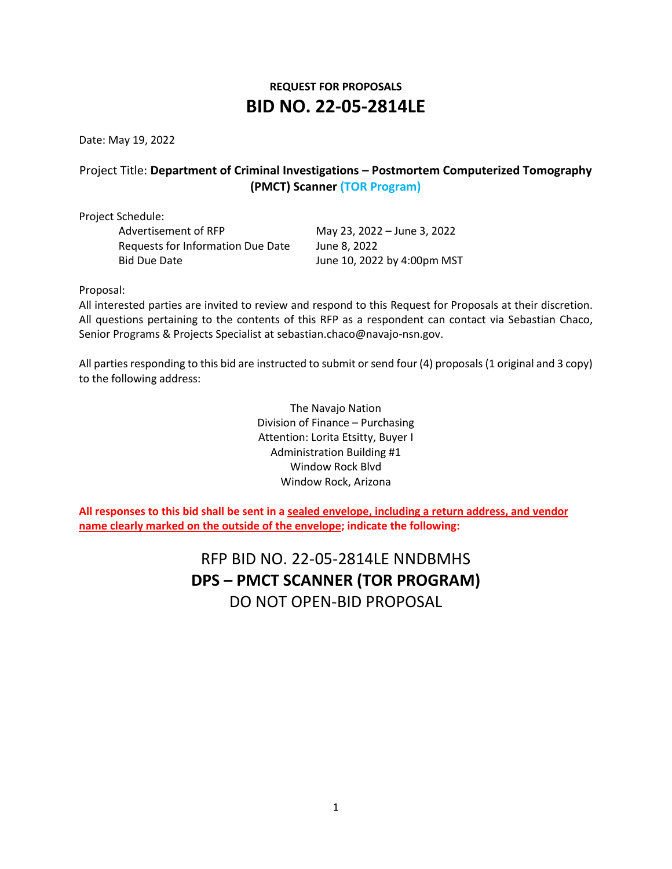# **REQUEST FOR PROPOSALS BID NO. 22-05-2814LE**

Date: May 19, 2022

# Project Title: **Department of Criminal Investigations – Postmortem Computerized Tomography (PMCT) Scanner (TOR Program)**

Project Schedule:

Advertisement of RFP May 23, 2022 – June 3, 2022 Requests for Information Due Date June 8, 2022 Bid Due Date **June 10, 2022 by 4:00pm MST** 

Proposal:

All interested parties are invited to review and respond to this Request for Proposals at their discretion. All questions pertaining to the contents of this RFP as a respondent can contact via Sebastian Chaco, Senior Programs & Projects Specialist at sebastian.chaco@navajo-nsn.gov.

All parties responding to this bid are instructed to submit or send four (4) proposals (1 original and 3 copy) to the following address:

> The Navajo Nation Division of Finance – Purchasing Attention: Lorita Etsitty, Buyer I Administration Building #1 Window Rock Blvd Window Rock, Arizona

**All responses to this bid shall be sent in a sealed envelope, including a return address, and vendor name clearly marked on the outside of the envelope; indicate the following:**

> RFP BID NO. 22-05-2814LE NNDBMHS **DPS – PMCT SCANNER (TOR PROGRAM)**  DO NOT OPEN-BID PROPOSAL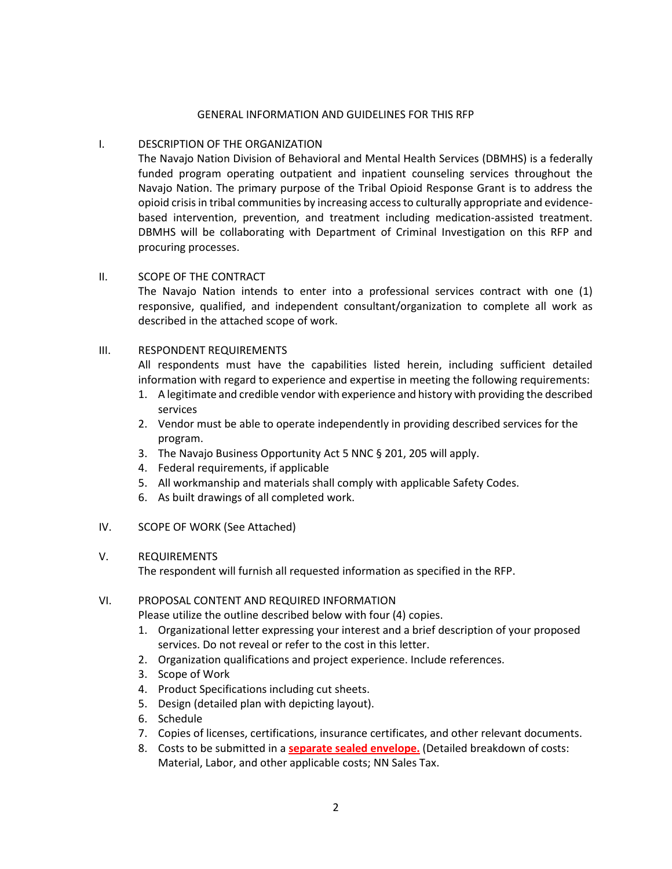#### GENERAL INFORMATION AND GUIDELINES FOR THIS RFP

## I. DESCRIPTION OF THE ORGANIZATION

The Navajo Nation Division of Behavioral and Mental Health Services (DBMHS) is a federally funded program operating outpatient and inpatient counseling services throughout the Navajo Nation. The primary purpose of the Tribal Opioid Response Grant is to address the opioid crisis in tribal communities by increasing access to culturally appropriate and evidencebased intervention, prevention, and treatment including medication-assisted treatment. DBMHS will be collaborating with Department of Criminal Investigation on this RFP and procuring processes.

#### II. SCOPE OF THE CONTRACT

The Navajo Nation intends to enter into a professional services contract with one (1) responsive, qualified, and independent consultant/organization to complete all work as described in the attached scope of work.

#### III. RESPONDENT REQUIREMENTS

All respondents must have the capabilities listed herein, including sufficient detailed information with regard to experience and expertise in meeting the following requirements:

- 1. A legitimate and credible vendor with experience and history with providing the described services
- 2. Vendor must be able to operate independently in providing described services for the program.
- 3. The Navajo Business Opportunity Act 5 NNC § 201, 205 will apply.
- 4. Federal requirements, if applicable
- 5. All workmanship and materials shall comply with applicable Safety Codes.
- 6. As built drawings of all completed work.

## IV. SCOPE OF WORK (See Attached)

#### V. REQUIREMENTS

The respondent will furnish all requested information as specified in the RFP.

## VI. PROPOSAL CONTENT AND REQUIRED INFORMATION

Please utilize the outline described below with four (4) copies.

- 1. Organizational letter expressing your interest and a brief description of your proposed services. Do not reveal or refer to the cost in this letter.
- 2. Organization qualifications and project experience. Include references.
- 3. Scope of Work
- 4. Product Specifications including cut sheets.
- 5. Design (detailed plan with depicting layout).
- 6. Schedule
- 7. Copies of licenses, certifications, insurance certificates, and other relevant documents.
- 8. Costs to be submitted in a **separate sealed envelope.** (Detailed breakdown of costs: Material, Labor, and other applicable costs; NN Sales Tax.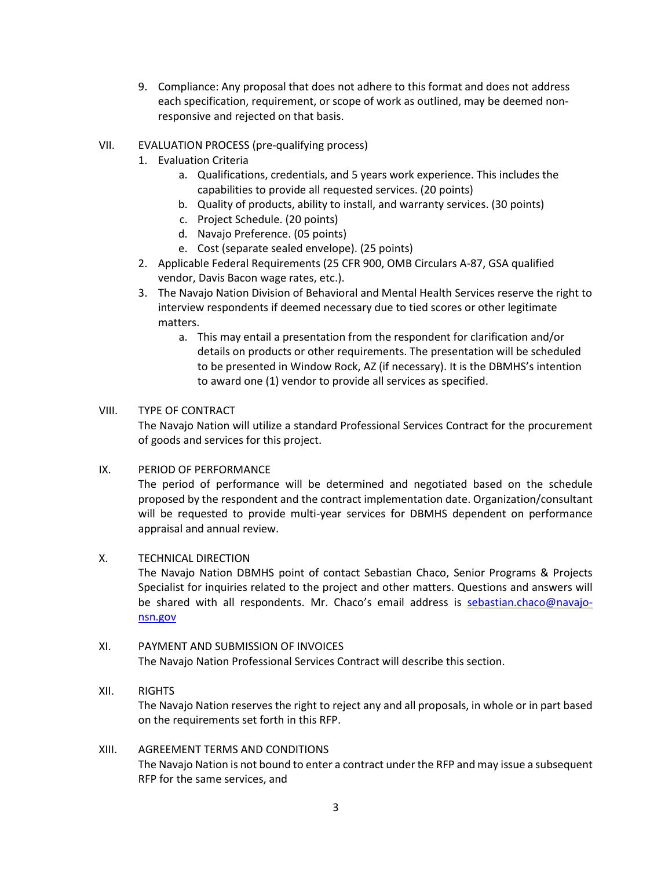- 9. Compliance: Any proposal that does not adhere to this format and does not address each specification, requirement, or scope of work as outlined, may be deemed nonresponsive and rejected on that basis.
- VII. EVALUATION PROCESS (pre-qualifying process)
	- 1. Evaluation Criteria
		- a. Qualifications, credentials, and 5 years work experience. This includes the capabilities to provide all requested services. (20 points)
		- b. Quality of products, ability to install, and warranty services. (30 points)
		- c. Project Schedule. (20 points)
		- d. Navajo Preference. (05 points)
		- e. Cost (separate sealed envelope). (25 points)
	- 2. Applicable Federal Requirements (25 CFR 900, OMB Circulars A-87, GSA qualified vendor, Davis Bacon wage rates, etc.).
	- 3. The Navajo Nation Division of Behavioral and Mental Health Services reserve the right to interview respondents if deemed necessary due to tied scores or other legitimate matters.
		- a. This may entail a presentation from the respondent for clarification and/or details on products or other requirements. The presentation will be scheduled to be presented in Window Rock, AZ (if necessary). It is the DBMHS's intention to award one (1) vendor to provide all services as specified.

## VIII. TYPE OF CONTRACT

The Navajo Nation will utilize a standard Professional Services Contract for the procurement of goods and services for this project.

## IX. PERIOD OF PERFORMANCE

The period of performance will be determined and negotiated based on the schedule proposed by the respondent and the contract implementation date. Organization/consultant will be requested to provide multi-year services for DBMHS dependent on performance appraisal and annual review.

## X. TECHNICAL DIRECTION

The Navajo Nation DBMHS point of contact Sebastian Chaco, Senior Programs & Projects Specialist for inquiries related to the project and other matters. Questions and answers will be shared with all respondents. Mr. Chaco's email address is [sebastian.chaco@navajo](mailto:sebastian.chaco@navajo-nsn.gov)[nsn.gov](mailto:sebastian.chaco@navajo-nsn.gov)

XI. PAYMENT AND SUBMISSION OF INVOICES The Navajo Nation Professional Services Contract will describe this section.

## XII. RIGHTS

The Navajo Nation reserves the right to reject any and all proposals, in whole or in part based on the requirements set forth in this RFP.

#### XIII. AGREEMENT TERMS AND CONDITIONS The Navajo Nation is not bound to enter a contract under the RFP and may issue a subsequent RFP for the same services, and